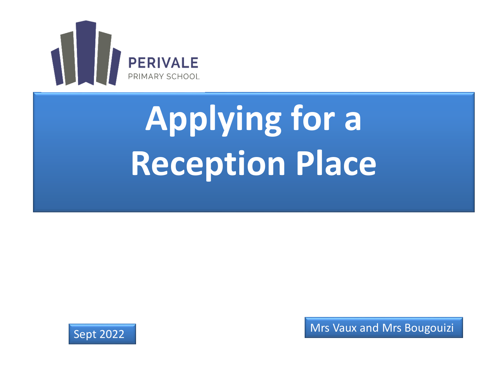

# **Applying for a Reception Place**

![](_page_0_Picture_2.jpeg)

Sept 2022 **Mrs Vaux and Mrs Bougouizi**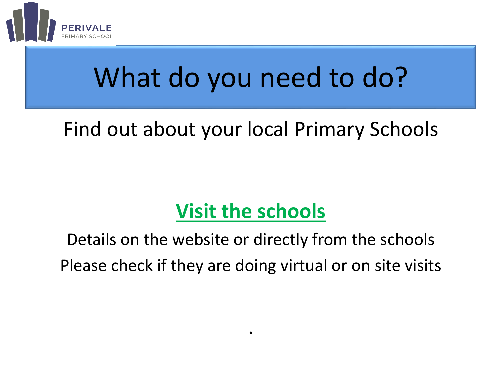![](_page_1_Picture_0.jpeg)

## What do you need to do?

#### Find out about your local Primary Schools

#### **Visit the schools**

Details on the website or directly from the schools Please check if they are doing virtual or on site visits

.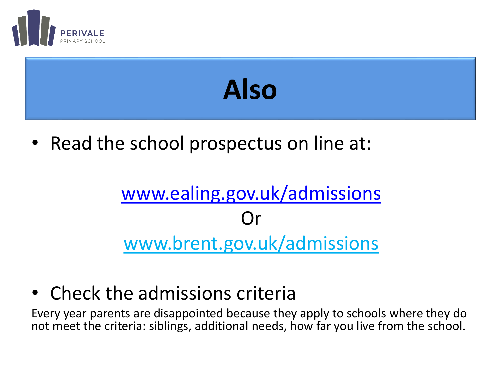![](_page_2_Picture_0.jpeg)

# **Also**

• Read the school prospectus on line at:

#### [www.ealing.gov.uk/admissions](http://www.ealing.gov.uk/admissions) ( )r www.brent.gov.uk/admissions

• Check the admissions criteria

Every year parents are disappointed because they apply to schools where they do not meet the criteria: siblings, additional needs, how far you live from the school.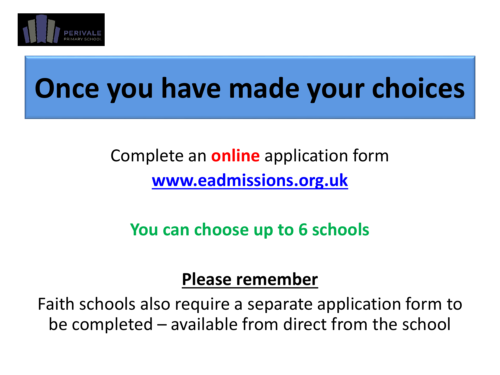![](_page_3_Picture_0.jpeg)

### **Once you have made your choices**

#### Complete an **online** application form **[www.eadmissions.org.uk](http://www.eadmissions.org.uk/)**

**You can choose up to 6 schools**

#### **Please remember**

Faith schools also require a separate application form to be completed – available from direct from the school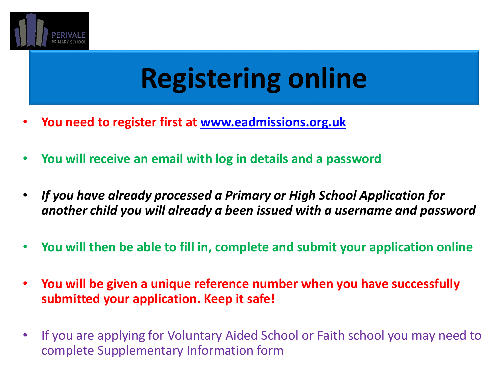![](_page_4_Picture_0.jpeg)

### **Registering online**

- **You need to register first at [www.eadmissions.org.uk](http://www.eadmissions.org.uk/)**
- **You will receive an email with log in details and a password**
- *If you have already processed a Primary or High School Application for another child you will already a been issued with a username and password*
- **You will then be able to fill in, complete and submit your application online**
- **You will be given a unique reference number when you have successfully submitted your application. Keep it safe!**
- If you are applying for Voluntary Aided School or Faith school you may need to complete Supplementary Information form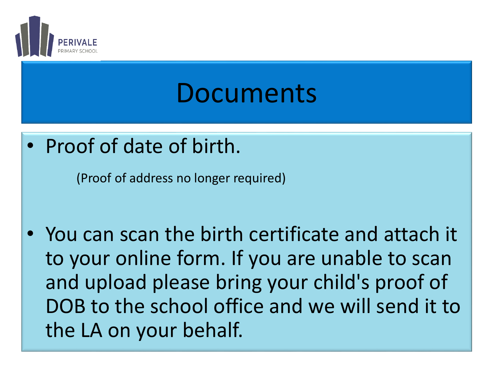![](_page_5_Picture_0.jpeg)

### Documents

• Proof of date of birth.

(Proof of address no longer required)

• You can scan the birth certificate and attach it to your online form. If you are unable to scan and upload please bring your child's proof of DOB to the school office and we will send it to the LA on your behalf.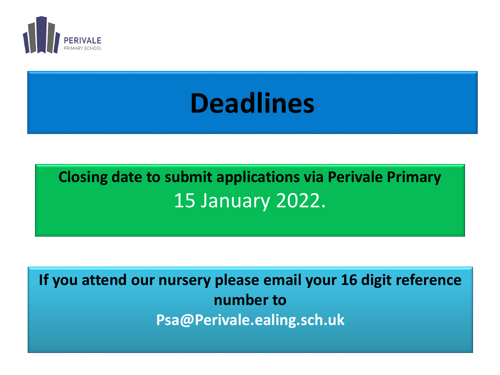![](_page_6_Picture_0.jpeg)

### **Deadlines**

#### **Closing date to submit applications via Perivale Primary** 15 January 2022.

**If you attend our nursery please email your 16 digit reference number to Psa@Perivale.ealing.sch.uk**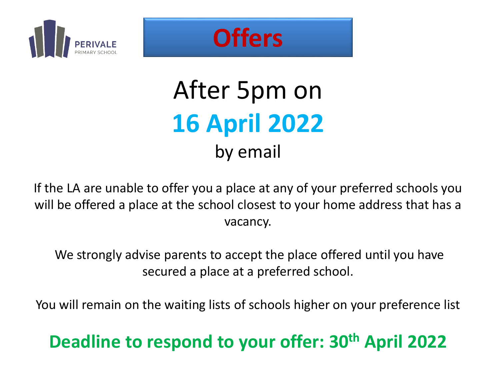![](_page_7_Picture_0.jpeg)

![](_page_7_Picture_1.jpeg)

### After 5pm on **16 April 2022** by email

If the LA are unable to offer you a place at any of your preferred schools you will be offered a place at the school closest to your home address that has a vacancy.

We strongly advise parents to accept the place offered until you have secured a place at a preferred school.

You will remain on the waiting lists of schools higher on your preference list

#### **Deadline to respond to your offer: 30th April 2022**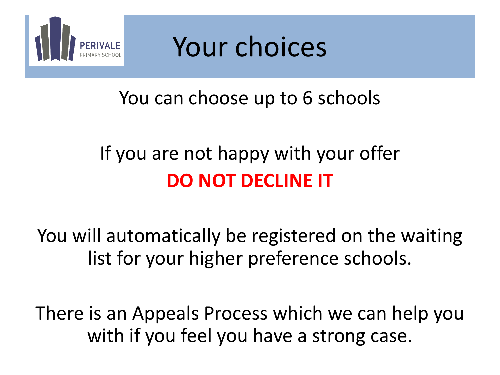![](_page_8_Picture_0.jpeg)

![](_page_8_Picture_1.jpeg)

#### You can choose up to 6 schools

### If you are not happy with your offer **DO NOT DECLINE IT**

You will automatically be registered on the waiting list for your higher preference schools.

There is an Appeals Process which we can help you with if you feel you have a strong case.